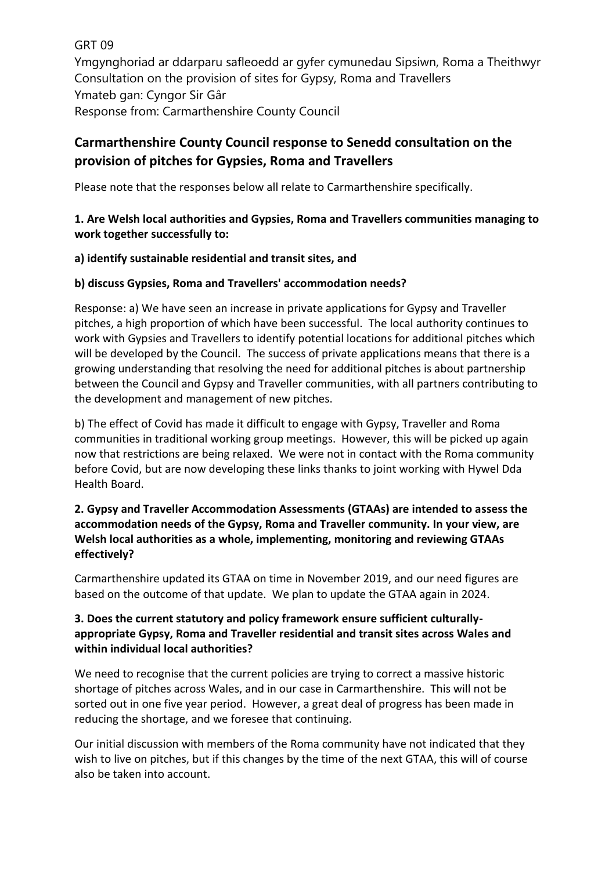GRT 09 Ymgynghoriad ar ddarparu safleoedd ar gyfer cymunedau Sipsiwn, Roma a Theithwyr Consultation on the provision of sites for Gypsy, Roma and Travellers Ymateb gan: Cyngor Sir Gâr Response from: Carmarthenshire County Council

# **Carmarthenshire County Council response to Senedd consultation on the provision of pitches for Gypsies, Roma and Travellers**

Please note that the responses below all relate to Carmarthenshire specifically.

# **1. Are Welsh local authorities and Gypsies, Roma and Travellers communities managing to work together successfully to:**

## **a) identify sustainable residential and transit sites, and**

# **b) discuss Gypsies, Roma and Travellers' accommodation needs?**

Response: a) We have seen an increase in private applications for Gypsy and Traveller pitches, a high proportion of which have been successful. The local authority continues to work with Gypsies and Travellers to identify potential locations for additional pitches which will be developed by the Council. The success of private applications means that there is a growing understanding that resolving the need for additional pitches is about partnership between the Council and Gypsy and Traveller communities, with all partners contributing to the development and management of new pitches.

b) The effect of Covid has made it difficult to engage with Gypsy, Traveller and Roma communities in traditional working group meetings. However, this will be picked up again now that restrictions are being relaxed. We were not in contact with the Roma community before Covid, but are now developing these links thanks to joint working with Hywel Dda Health Board.

# **2. Gypsy and Traveller Accommodation Assessments (GTAAs) are intended to assess the accommodation needs of the Gypsy, Roma and Traveller community. In your view, are Welsh local authorities as a whole, implementing, monitoring and reviewing GTAAs effectively?**

Carmarthenshire updated its GTAA on time in November 2019, and our need figures are based on the outcome of that update. We plan to update the GTAA again in 2024.

# **3. Does the current statutory and policy framework ensure sufficient culturallyappropriate Gypsy, Roma and Traveller residential and transit sites across Wales and within individual local authorities?**

We need to recognise that the current policies are trying to correct a massive historic shortage of pitches across Wales, and in our case in Carmarthenshire. This will not be sorted out in one five year period. However, a great deal of progress has been made in reducing the shortage, and we foresee that continuing.

Our initial discussion with members of the Roma community have not indicated that they wish to live on pitches, but if this changes by the time of the next GTAA, this will of course also be taken into account.